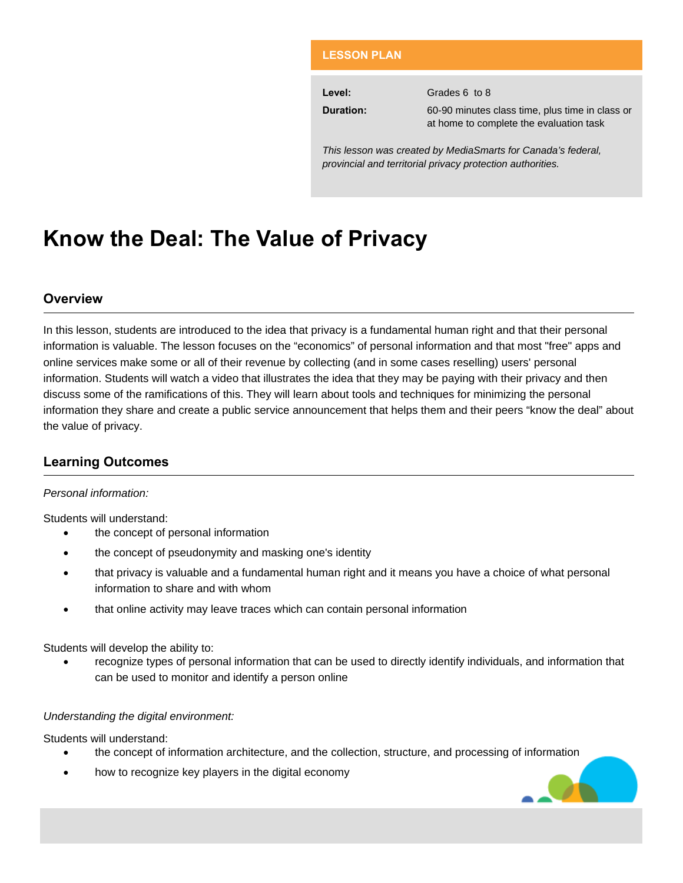#### **LESSON PLAN**

| Level:           | Grades 6 to 8                                   |
|------------------|-------------------------------------------------|
| <b>Duration:</b> | 60-90 minutes class time, plus time in class or |
|                  | at home to complete the evaluation task         |

*This lesson was created by MediaSmarts for Canada's federal, provincial and territorial privacy protection authorities.* 

# **Know the Deal: The Value of Privacy**

## **Overview**

In this lesson, students are introduced to the idea that privacy is a fundamental human right and that their personal information is valuable. The lesson focuses on the "economics" of personal information and that most "free" apps and online services make some or all of their revenue by collecting (and in some cases reselling) users' personal information. Students will watch a video that illustrates the idea that they may be paying with their privacy and then discuss some of the ramifications of this. They will learn about tools and techniques for minimizing the personal information they share and create a public service announcement that helps them and their peers "know the deal" about the value of privacy.

# **Learning Outcomes**

#### *Personal information:*

Students will understand:

- the concept of personal information
- the concept of pseudonymity and masking one's identity
- that privacy is valuable and a fundamental human right and it means you have a choice of what personal information to share and with whom
- that online activity may leave traces which can contain personal information

Students will develop the ability to:

 recognize types of personal information that can be used to directly identify individuals, and information that can be used to monitor and identify a person online

#### *Understanding the digital environment:*

Students will understand:

- the concept of information architecture, and the collection, structure, and processing of information
- how to recognize key players in the digital economy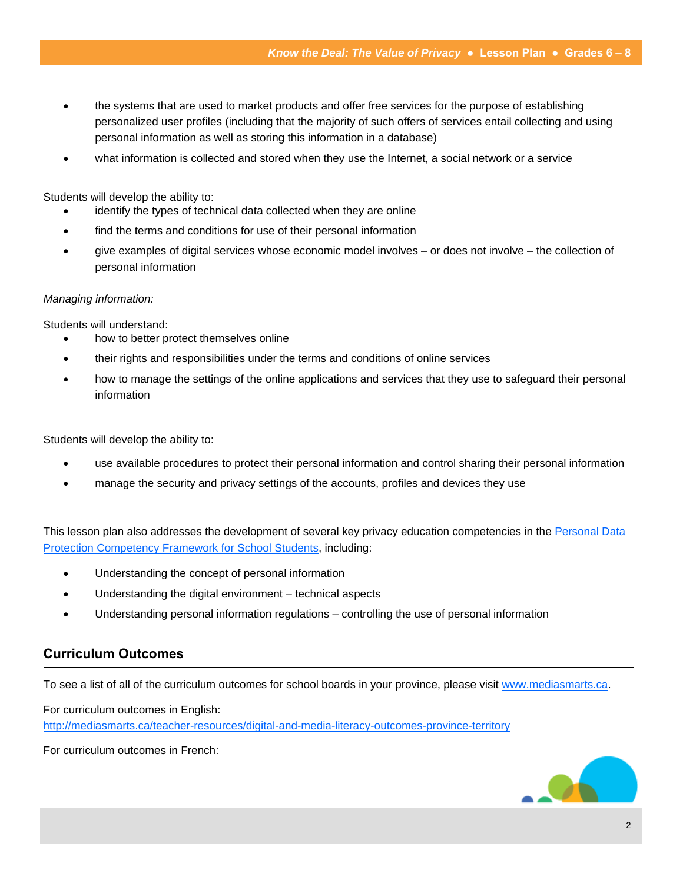- the systems that are used to market products and offer free services for the purpose of establishing personalized user profiles (including that the majority of such offers of services entail collecting and using personal information as well as storing this information in a database)
- what information is collected and stored when they use the Internet, a social network or a service

Students will develop the ability to:

- identify the types of technical data collected when they are online
- find the terms and conditions for use of their personal information
- give examples of digital services whose economic model involves or does not involve the collection of personal information

#### *Managing information:*

Students will understand:

- how to better protect themselves online
- their rights and responsibilities under the terms and conditions of online services
- how to manage the settings of the online applications and services that they use to safeguard their personal information

Students will develop the ability to:

- use available procedures to protect their personal information and control sharing their personal information
- manage the security and privacy settings of the accounts, profiles and devices they use

This lesson plan also addresses the development of several key privacy education competencies in the Personal Data Protection Competency Framework for School Students, including:

- Understanding the concept of personal information
- Understanding the digital environment technical aspects
- Understanding personal information regulations controlling the use of personal information

## **Curriculum Outcomes**

To see a list of all of the curriculum outcomes for school boards in your province, please visit www.mediasmarts.ca.

For curriculum outcomes in English:

http://mediasmarts.ca/teacher-resources/digital-and-media-literacy-outcomes-province-territory

For curriculum outcomes in French:

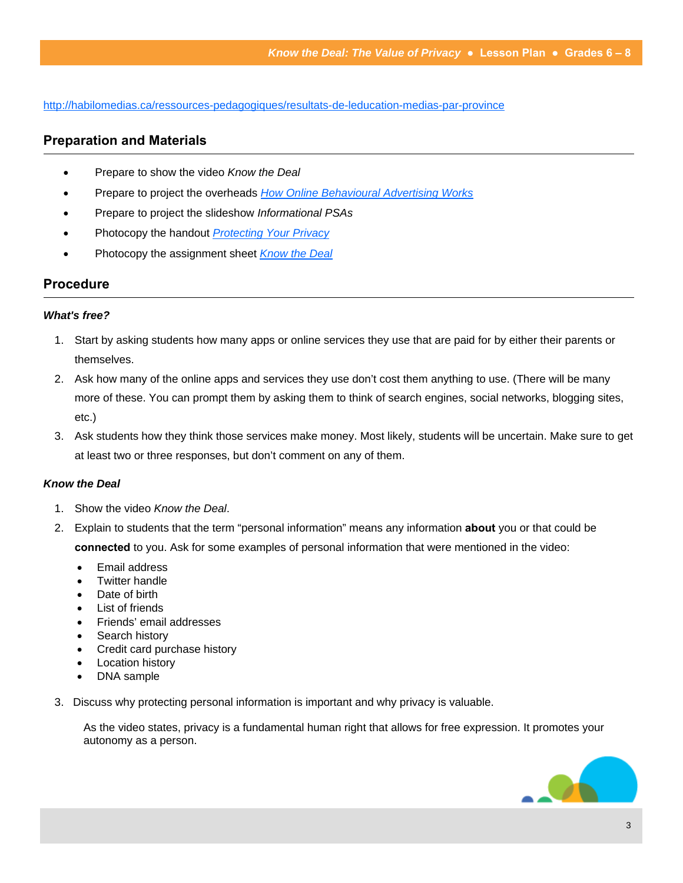http://habilomedias.ca/ressources-pedagogiques/resultats-de-leducation-medias-par-province

# **Preparation and Materials**

- Prepare to show the video *Know the Deal*
- Prepare to project the overheads *How Online Behavioural Advertising Works*
- Prepare to project the slideshow *Informational PSAs*
- Photocopy the handout *Protecting Your Privacy*
- Photocopy the assignment sheet **Know the Deal**

## **Procedure**

#### *What's free?*

- 1. Start by asking students how many apps or online services they use that are paid for by either their parents or themselves.
- 2. Ask how many of the online apps and services they use don't cost them anything to use. (There will be many more of these. You can prompt them by asking them to think of search engines, social networks, blogging sites, etc.)
- 3. Ask students how they think those services make money. Most likely, students will be uncertain. Make sure to get at least two or three responses, but don't comment on any of them.

#### *Know the Deal*

- 1. Show the video *Know the Deal*.
- 2. Explain to students that the term "personal information" means any information **about** you or that could be **connected** to you. Ask for some examples of personal information that were mentioned in the video:
	- Email address
	- Twitter handle
	- Date of birth
	- List of friends
	- Friends' email addresses
	- Search history
	- Credit card purchase history
	- Location history
	- DNA sample
- 3. Discuss why protecting personal information is important and why privacy is valuable.

As the video states, privacy is a fundamental human right that allows for free expression. It promotes your autonomy as a person.

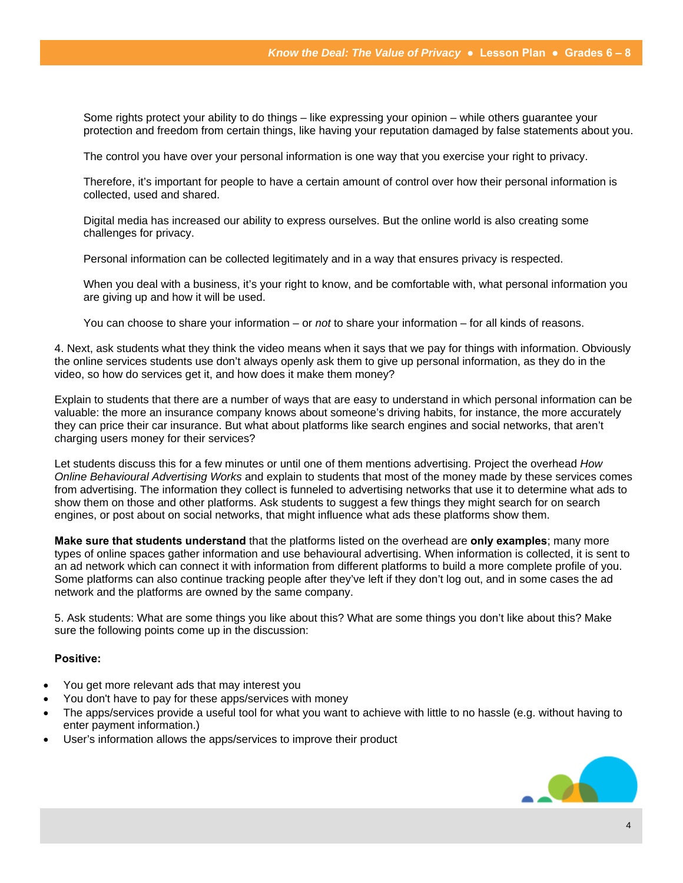Some rights protect your ability to do things – like expressing your opinion – while others guarantee your protection and freedom from certain things, like having your reputation damaged by false statements about you.

The control you have over your personal information is one way that you exercise your right to privacy.

Therefore, it's important for people to have a certain amount of control over how their personal information is collected, used and shared.

Digital media has increased our ability to express ourselves. But the online world is also creating some challenges for privacy.

Personal information can be collected legitimately and in a way that ensures privacy is respected.

When you deal with a business, it's your right to know, and be comfortable with, what personal information you are giving up and how it will be used.

You can choose to share your information – or *not* to share your information – for all kinds of reasons.

4. Next, ask students what they think the video means when it says that we pay for things with information. Obviously the online services students use don't always openly ask them to give up personal information, as they do in the video, so how do services get it, and how does it make them money?

Explain to students that there are a number of ways that are easy to understand in which personal information can be valuable: the more an insurance company knows about someone's driving habits, for instance, the more accurately they can price their car insurance. But what about platforms like search engines and social networks, that aren't charging users money for their services?

Let students discuss this for a few minutes or until one of them mentions advertising. Project the overhead *How Online Behavioural Advertising Works* and explain to students that most of the money made by these services comes from advertising. The information they collect is funneled to advertising networks that use it to determine what ads to show them on those and other platforms. Ask students to suggest a few things they might search for on search engines, or post about on social networks, that might influence what ads these platforms show them.

**Make sure that students understand** that the platforms listed on the overhead are **only examples**; many more types of online spaces gather information and use behavioural advertising. When information is collected, it is sent to an ad network which can connect it with information from different platforms to build a more complete profile of you. Some platforms can also continue tracking people after they've left if they don't log out, and in some cases the ad network and the platforms are owned by the same company.

5. Ask students: What are some things you like about this? What are some things you don't like about this? Make sure the following points come up in the discussion:

#### **Positive:**

- You get more relevant ads that may interest you
- You don't have to pay for these apps/services with money
- The apps/services provide a useful tool for what you want to achieve with little to no hassle (e.g. without having to enter payment information.)
- User's information allows the apps/services to improve their product

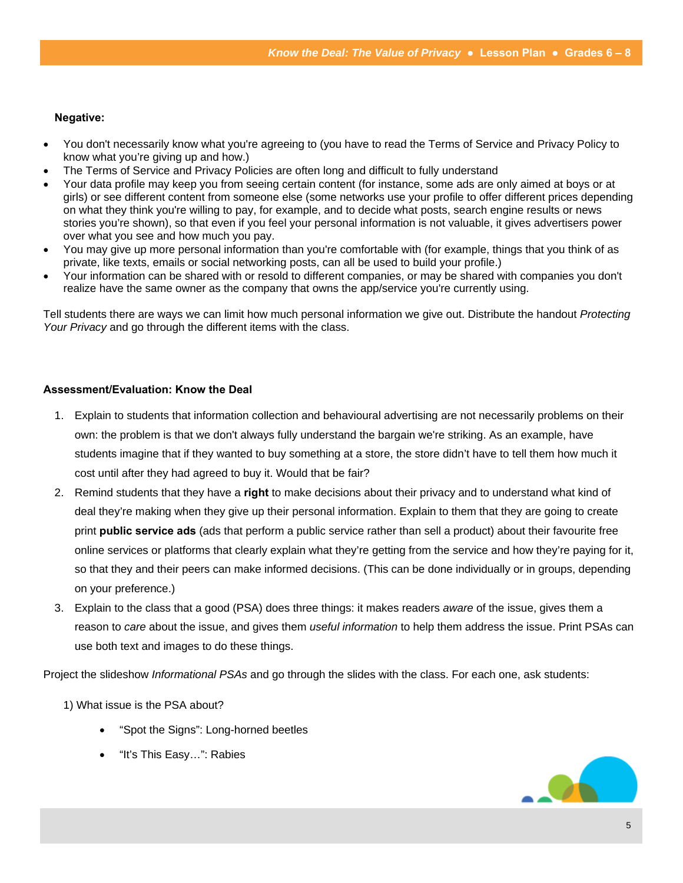#### **Negative:**

- You don't necessarily know what you're agreeing to (you have to read the Terms of Service and Privacy Policy to know what you're giving up and how.)
- The Terms of Service and Privacy Policies are often long and difficult to fully understand
- Your data profile may keep you from seeing certain content (for instance, some ads are only aimed at boys or at girls) or see different content from someone else (some networks use your profile to offer different prices depending on what they think you're willing to pay, for example, and to decide what posts, search engine results or news stories you're shown), so that even if you feel your personal information is not valuable, it gives advertisers power over what you see and how much you pay.
- You may give up more personal information than you're comfortable with (for example, things that you think of as private, like texts, emails or social networking posts, can all be used to build your profile.)
- Your information can be shared with or resold to different companies, or may be shared with companies you don't realize have the same owner as the company that owns the app/service you're currently using.

Tell students there are ways we can limit how much personal information we give out. Distribute the handout *Protecting Your Privacy* and go through the different items with the class.

#### **Assessment/Evaluation: Know the Deal**

- 1. Explain to students that information collection and behavioural advertising are not necessarily problems on their own: the problem is that we don't always fully understand the bargain we're striking. As an example, have students imagine that if they wanted to buy something at a store, the store didn't have to tell them how much it cost until after they had agreed to buy it. Would that be fair?
- 2. Remind students that they have a **right** to make decisions about their privacy and to understand what kind of deal they're making when they give up their personal information. Explain to them that they are going to create print **public service ads** (ads that perform a public service rather than sell a product) about their favourite free online services or platforms that clearly explain what they're getting from the service and how they're paying for it, so that they and their peers can make informed decisions. (This can be done individually or in groups, depending on your preference.)
- 3. Explain to the class that a good (PSA) does three things: it makes readers *aware* of the issue, gives them a reason to *care* about the issue, and gives them *useful information* to help them address the issue. Print PSAs can use both text and images to do these things.

Project the slideshow *Informational PSAs* and go through the slides with the class. For each one, ask students:

1) What issue is the PSA about?

- "Spot the Signs": Long-horned beetles
- "It's This Easy…": Rabies

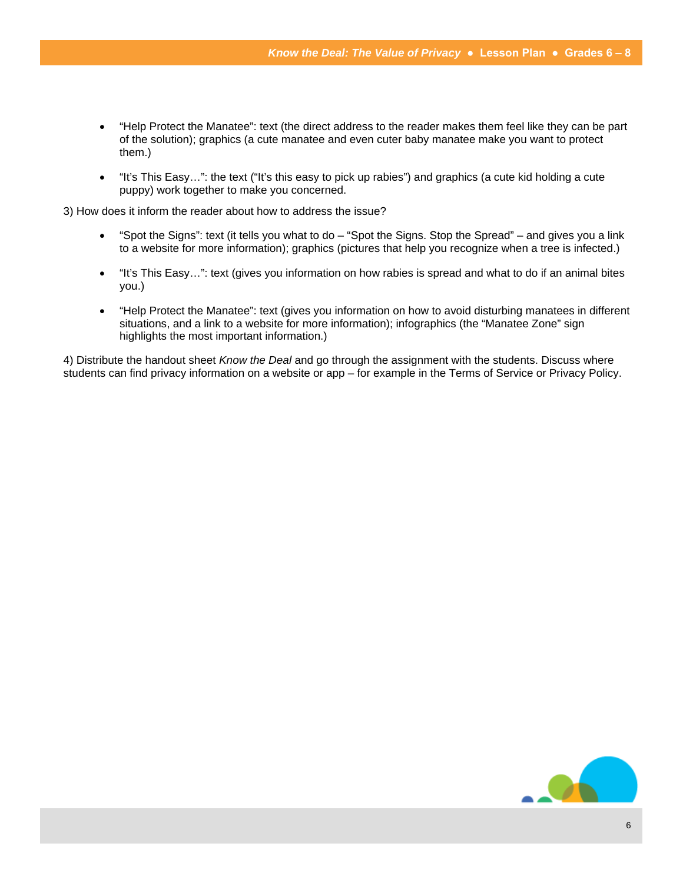- "Help Protect the Manatee": text (the direct address to the reader makes them feel like they can be part of the solution); graphics (a cute manatee and even cuter baby manatee make you want to protect them.)
- "It's This Easy…": the text ("It's this easy to pick up rabies") and graphics (a cute kid holding a cute puppy) work together to make you concerned.

3) How does it inform the reader about how to address the issue?

- "Spot the Signs": text (it tells you what to do "Spot the Signs. Stop the Spread" and gives you a link to a website for more information); graphics (pictures that help you recognize when a tree is infected.)
- "It's This Easy...": text (gives you information on how rabies is spread and what to do if an animal bites you.)
- "Help Protect the Manatee": text (gives you information on how to avoid disturbing manatees in different situations, and a link to a website for more information); infographics (the "Manatee Zone" sign highlights the most important information.)

4) Distribute the handout sheet *Know the Deal* and go through the assignment with the students. Discuss where students can find privacy information on a website or app – for example in the Terms of Service or Privacy Policy.

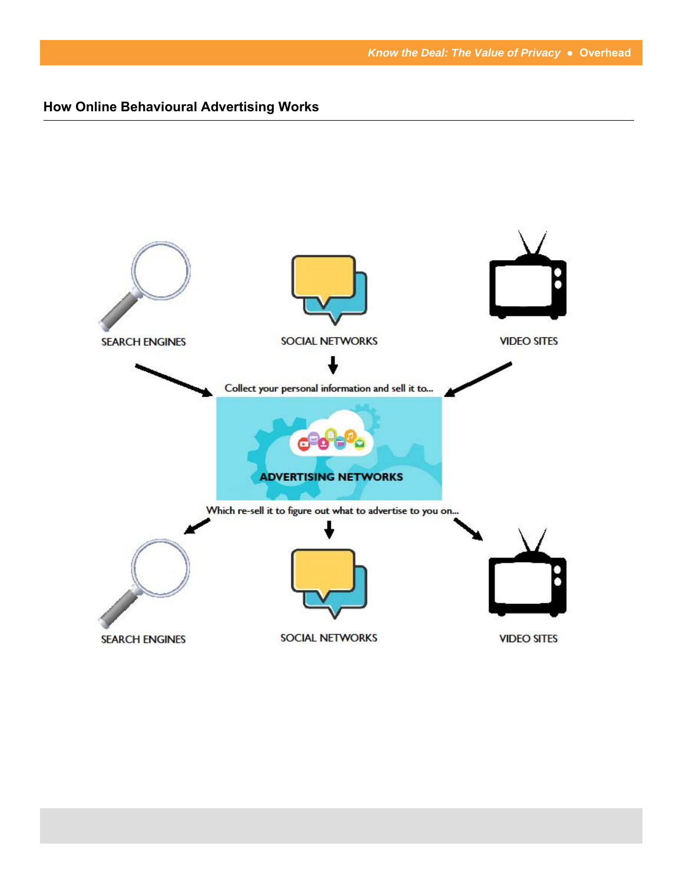# **How Online Behavioural Advertising Works**

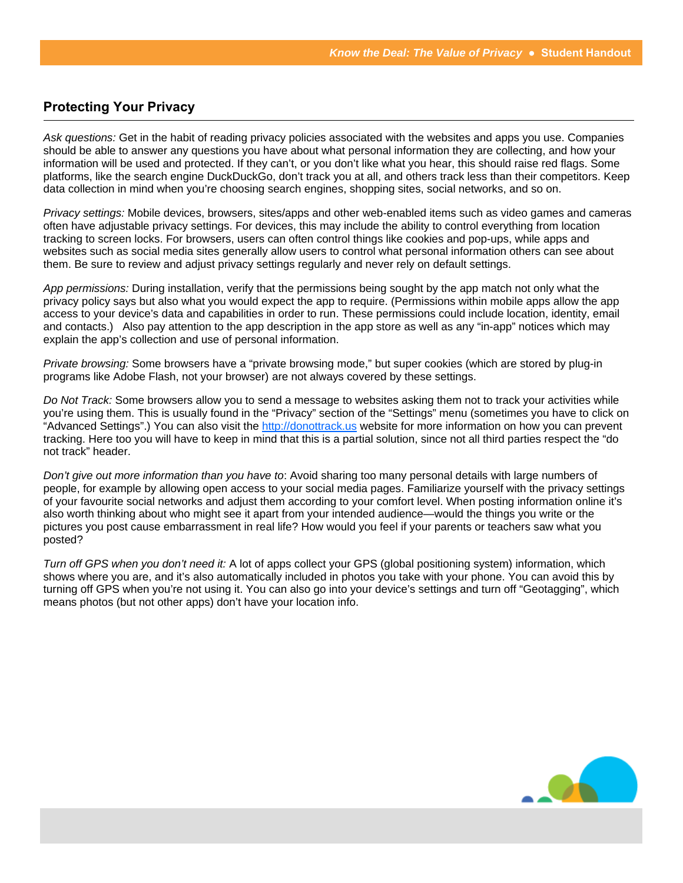# **Protecting Your Privacy**

*Ask questions:* Get in the habit of reading privacy policies associated with the websites and apps you use. Companies should be able to answer any questions you have about what personal information they are collecting, and how your information will be used and protected. If they can't, or you don't like what you hear, this should raise red flags. Some platforms, like the search engine DuckDuckGo, don't track you at all, and others track less than their competitors. Keep data collection in mind when you're choosing search engines, shopping sites, social networks, and so on.

*Privacy settings:* Mobile devices, browsers, sites/apps and other web-enabled items such as video games and cameras often have adjustable privacy settings. For devices, this may include the ability to control everything from location tracking to screen locks. For browsers, users can often control things like cookies and pop-ups, while apps and websites such as social media sites generally allow users to control what personal information others can see about them. Be sure to review and adjust privacy settings regularly and never rely on default settings.

*App permissions:* During installation, verify that the permissions being sought by the app match not only what the privacy policy says but also what you would expect the app to require. (Permissions within mobile apps allow the app access to your device's data and capabilities in order to run. These permissions could include location, identity, email and contacts.) Also pay attention to the app description in the app store as well as any "in-app" notices which may explain the app's collection and use of personal information.

*Private browsing:* Some browsers have a "private browsing mode," but super cookies (which are stored by plug-in programs like Adobe Flash, not your browser) are not always covered by these settings.

*Do Not Track:* Some browsers allow you to send a message to websites asking them not to track your activities while you're using them. This is usually found in the "Privacy" section of the "Settings" menu (sometimes you have to click on "Advanced Settings".) You can also visit the http://donottrack.us website for more information on how you can prevent tracking. Here too you will have to keep in mind that this is a partial solution, since not all third parties respect the "do not track" header.

*Don't give out more information than you have to*: Avoid sharing too many personal details with large numbers of people, for example by allowing open access to your social media pages. Familiarize yourself with the privacy settings of your favourite social networks and adjust them according to your comfort level. When posting information online it's also worth thinking about who might see it apart from your intended audience—would the things you write or the pictures you post cause embarrassment in real life? How would you feel if your parents or teachers saw what you posted?

*Turn off GPS when you don't need it:* A lot of apps collect your GPS (global positioning system) information, which shows where you are, and it's also automatically included in photos you take with your phone. You can avoid this by turning off GPS when you're not using it. You can also go into your device's settings and turn off "Geotagging", which means photos (but not other apps) don't have your location info.

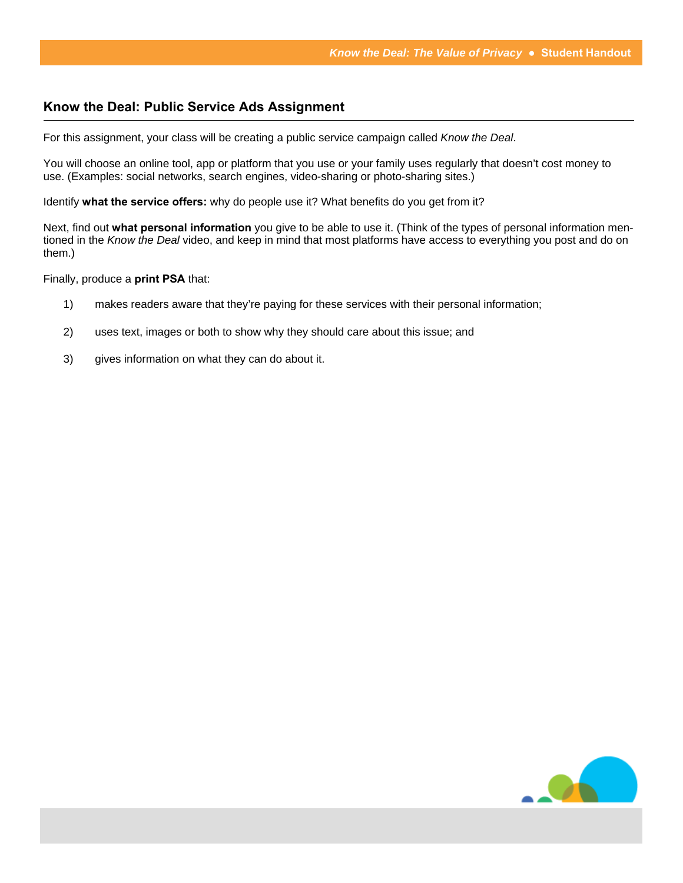#### **Know the Deal: Public Service Ads Assignment**

For this assignment, your class will be creating a public service campaign called *Know the Deal*.

You will choose an online tool, app or platform that you use or your family uses regularly that doesn't cost money to use. (Examples: social networks, search engines, video-sharing or photo-sharing sites.)

Identify **what the service offers:** why do people use it? What benefits do you get from it?

Next, find out **what personal information** you give to be able to use it. (Think of the types of personal information mentioned in the *Know the Deal* video, and keep in mind that most platforms have access to everything you post and do on them.)

Finally, produce a **print PSA** that:

- 1) makes readers aware that they're paying for these services with their personal information;
- 2) uses text, images or both to show why they should care about this issue; and
- 3) gives information on what they can do about it.

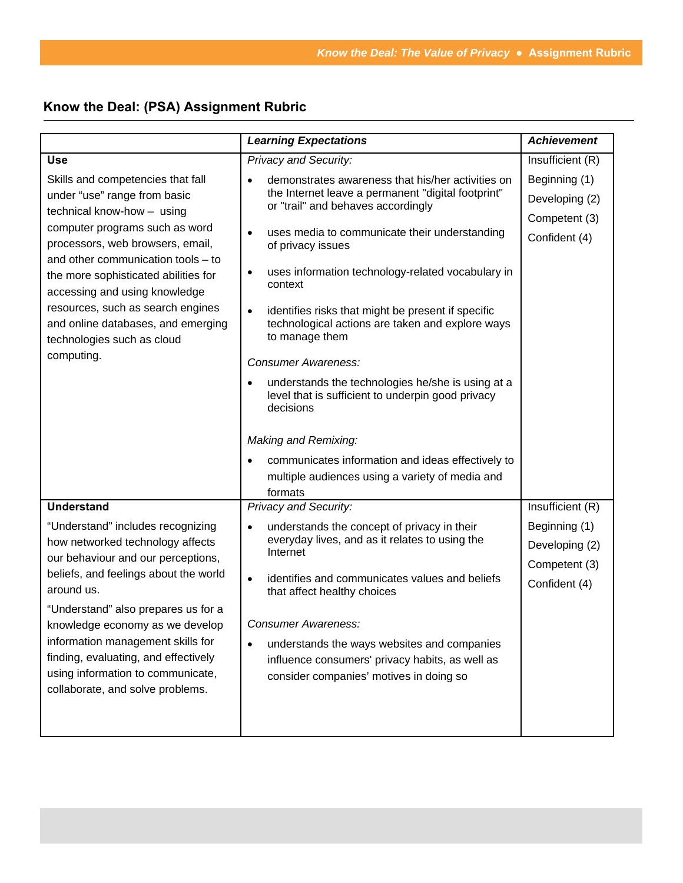# **Know the Deal: (PSA) Assignment Rubric**

|                                                                                                                                                                                                                                                                                                                                                                                                             | <b>Learning Expectations</b>                                                                                                                                                                                                                                                                                                                                                                                                                                                                                                                                                                        | <b>Achievement</b>                                                |
|-------------------------------------------------------------------------------------------------------------------------------------------------------------------------------------------------------------------------------------------------------------------------------------------------------------------------------------------------------------------------------------------------------------|-----------------------------------------------------------------------------------------------------------------------------------------------------------------------------------------------------------------------------------------------------------------------------------------------------------------------------------------------------------------------------------------------------------------------------------------------------------------------------------------------------------------------------------------------------------------------------------------------------|-------------------------------------------------------------------|
| <b>Use</b>                                                                                                                                                                                                                                                                                                                                                                                                  | Privacy and Security:                                                                                                                                                                                                                                                                                                                                                                                                                                                                                                                                                                               | Insufficient (R)                                                  |
| Skills and competencies that fall<br>under "use" range from basic<br>technical know-how - using<br>computer programs such as word<br>processors, web browsers, email,<br>and other communication tools - to<br>the more sophisticated abilities for<br>accessing and using knowledge<br>resources, such as search engines<br>and online databases, and emerging<br>technologies such as cloud<br>computing. | demonstrates awareness that his/her activities on<br>the Internet leave a permanent "digital footprint"<br>or "trail" and behaves accordingly<br>uses media to communicate their understanding<br>$\bullet$<br>of privacy issues<br>uses information technology-related vocabulary in<br>٠<br>context<br>identifies risks that might be present if specific<br>$\bullet$<br>technological actions are taken and explore ways<br>to manage them<br><b>Consumer Awareness:</b><br>understands the technologies he/she is using at a<br>level that is sufficient to underpin good privacy<br>decisions | Beginning (1)<br>Developing (2)<br>Competent (3)<br>Confident (4) |
|                                                                                                                                                                                                                                                                                                                                                                                                             | Making and Remixing:<br>communicates information and ideas effectively to<br>multiple audiences using a variety of media and<br>formats                                                                                                                                                                                                                                                                                                                                                                                                                                                             |                                                                   |
| <b>Understand</b>                                                                                                                                                                                                                                                                                                                                                                                           | <b>Privacy and Security:</b>                                                                                                                                                                                                                                                                                                                                                                                                                                                                                                                                                                        | Insufficient (R)                                                  |
| "Understand" includes recognizing<br>how networked technology affects<br>our behaviour and our perceptions,<br>beliefs, and feelings about the world<br>around us.<br>"Understand" also prepares us for a<br>knowledge economy as we develop<br>information management skills for<br>finding, evaluating, and effectively<br>using information to communicate,<br>collaborate, and solve problems.          | understands the concept of privacy in their<br>$\bullet$<br>everyday lives, and as it relates to using the<br>Internet<br>identifies and communicates values and beliefs<br>$\bullet$<br>that affect healthy choices<br>Consumer Awareness:<br>understands the ways websites and companies<br>$\bullet$<br>influence consumers' privacy habits, as well as<br>consider companies' motives in doing so                                                                                                                                                                                               | Beginning (1)<br>Developing (2)<br>Competent (3)<br>Confident (4) |
|                                                                                                                                                                                                                                                                                                                                                                                                             |                                                                                                                                                                                                                                                                                                                                                                                                                                                                                                                                                                                                     |                                                                   |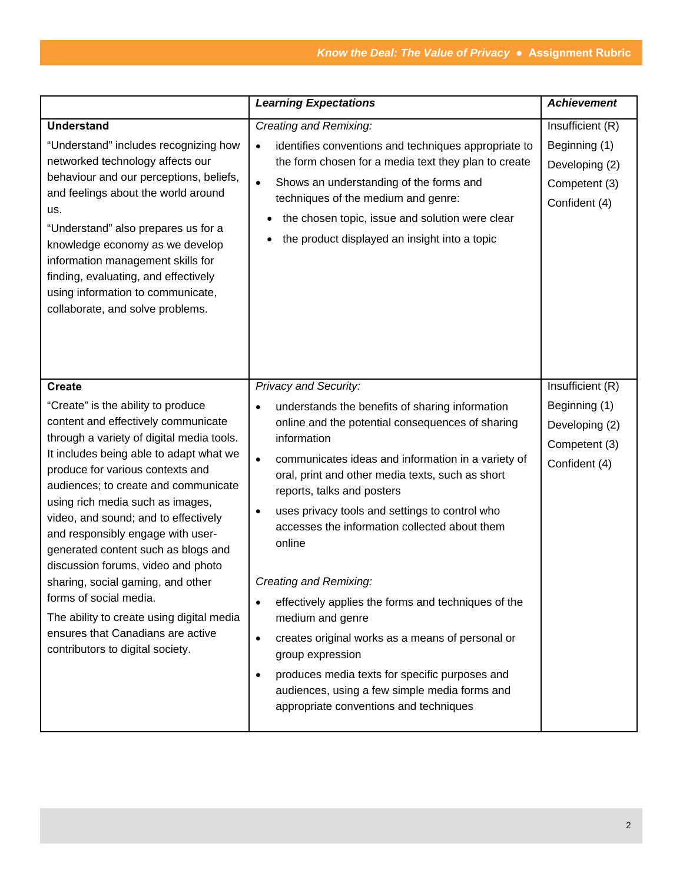|                                                                                                                                                                                                                                                                                                                                                                                                                                                                                                                                                                                                                                  | <b>Learning Expectations</b>                                                                                                                                                                                                                                                                                                                                                                                                                                                                                                                                                                                                                                                                                                                                       | <b>Achievement</b>                                                                    |
|----------------------------------------------------------------------------------------------------------------------------------------------------------------------------------------------------------------------------------------------------------------------------------------------------------------------------------------------------------------------------------------------------------------------------------------------------------------------------------------------------------------------------------------------------------------------------------------------------------------------------------|--------------------------------------------------------------------------------------------------------------------------------------------------------------------------------------------------------------------------------------------------------------------------------------------------------------------------------------------------------------------------------------------------------------------------------------------------------------------------------------------------------------------------------------------------------------------------------------------------------------------------------------------------------------------------------------------------------------------------------------------------------------------|---------------------------------------------------------------------------------------|
| <b>Understand</b><br>"Understand" includes recognizing how<br>networked technology affects our<br>behaviour and our perceptions, beliefs,<br>and feelings about the world around<br>us.<br>"Understand" also prepares us for a<br>knowledge economy as we develop<br>information management skills for<br>finding, evaluating, and effectively<br>using information to communicate,<br>collaborate, and solve problems.                                                                                                                                                                                                          | Creating and Remixing:<br>identifies conventions and techniques appropriate to<br>$\bullet$<br>the form chosen for a media text they plan to create<br>Shows an understanding of the forms and<br>$\bullet$<br>techniques of the medium and genre:<br>the chosen topic, issue and solution were clear<br>٠<br>the product displayed an insight into a topic                                                                                                                                                                                                                                                                                                                                                                                                        | Insufficient (R)<br>Beginning (1)<br>Developing (2)<br>Competent (3)<br>Confident (4) |
| <b>Create</b>                                                                                                                                                                                                                                                                                                                                                                                                                                                                                                                                                                                                                    | Privacy and Security:                                                                                                                                                                                                                                                                                                                                                                                                                                                                                                                                                                                                                                                                                                                                              | Insufficient (R)                                                                      |
| "Create" is the ability to produce<br>content and effectively communicate<br>through a variety of digital media tools.<br>It includes being able to adapt what we<br>produce for various contexts and<br>audiences; to create and communicate<br>using rich media such as images,<br>video, and sound; and to effectively<br>and responsibly engage with user-<br>generated content such as blogs and<br>discussion forums, video and photo<br>sharing, social gaming, and other<br>forms of social media.<br>The ability to create using digital media<br>ensures that Canadians are active<br>contributors to digital society. | understands the benefits of sharing information<br>$\bullet$<br>online and the potential consequences of sharing<br>information<br>communicates ideas and information in a variety of<br>$\bullet$<br>oral, print and other media texts, such as short<br>reports, talks and posters<br>uses privacy tools and settings to control who<br>$\bullet$<br>accesses the information collected about them<br>online<br>Creating and Remixing:<br>effectively applies the forms and techniques of the<br>medium and genre<br>creates original works as a means of personal or<br>$\bullet$<br>group expression<br>produces media texts for specific purposes and<br>$\bullet$<br>audiences, using a few simple media forms and<br>appropriate conventions and techniques | Beginning (1)<br>Developing (2)<br>Competent (3)<br>Confident (4)                     |